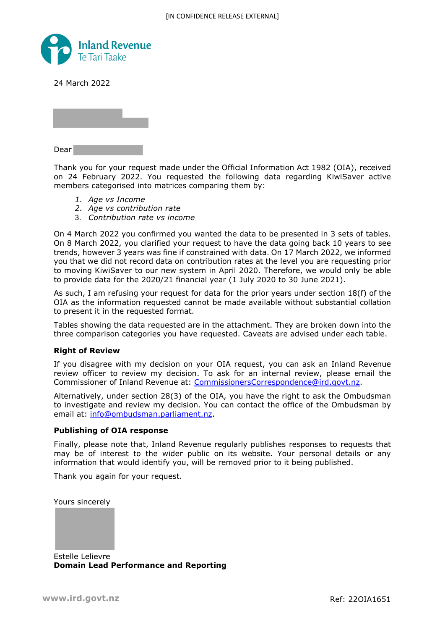

24 March 2022

Dear

Thank you for your request made under the Official Information Act 1982 (OIA), received on 24 February 2022. You requested the following data regarding KiwiSaver active members categorised into matrices comparing them by:

- *1. Age vs Income*
- *2. Age vs contribution rate*
- 3. *Contribution rate vs income*

On 4 March 2022 you confirmed you wanted the data to be presented in 3 sets of tables. On 8 March 2022, you clarified your request to have the data going back 10 years to see trends, however 3 years was fine if constrained with data. On 17 March 2022, we informed you that we did not record data on contribution rates at the level you are requesting prior to moving KiwiSaver to our new system in April 2020. Therefore, we would only be able to provide data for the 2020/21 financial year (1 July 2020 to 30 June 2021).

As such, I am refusing your request for data for the prior years under section 18(f) of the OIA as the information requested cannot be made available without substantial collation to present it in the requested format.

Tables showing the data requested are in the attachment. They are broken down into the three comparison categories you have requested. Caveats are advised under each table.

# **Right of Review**

If you disagree with my decision on your OIA request, you can ask an Inland Revenue review officer to review my decision. To ask for an internal review, please email the Commissioner of Inland Revenue at: CommissionersCorrespondence@ird.govt.nz.

Alternatively, under section 28(3) of the OIA, you have the right to ask the Ombudsman to investigate and review my decision. You can contact the office of the Ombudsman by email at: info@ombudsman.parliament.nz.

## **Publishing of OIA response**

Finally, please note that, Inland Revenue regularly publishes responses to requests that may be of interest to the wider public on its website. Your personal details or any information that would identify you, will be removed prior to it being published.

Thank you again for your request.

Yours sincerely



Estelle Lelievre **Domain Lead Performance and Reporting**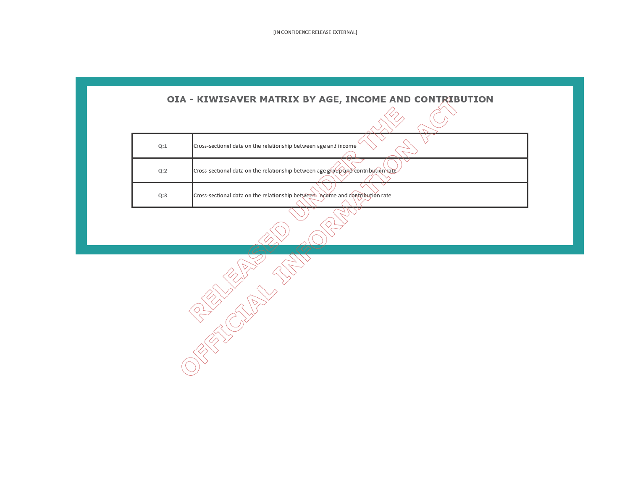[IN CONFIDENCE RELEASE EXTERNAL]

| Q:1 | Cross-sectional data on the relationship between age and income                  |
|-----|----------------------------------------------------------------------------------|
| Q:2 | Cross-sectional data on the relationship between age group and contribution rate |
| Q:3 | Cross-sectional data on the relationship between income and contribution rate    |

**CONTRACTOR**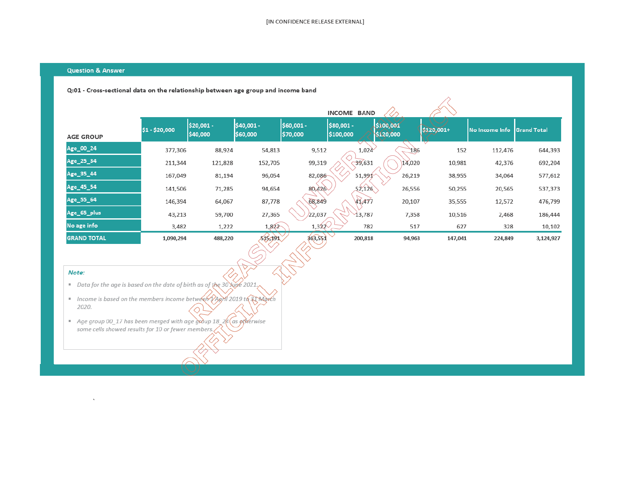R

### **Question & Answer**

### Q:01 - Cross-sectional data on the relationship between age group and income band

|                    |                |                        |                        |                        | <b>INCOME BAND</b>      |                      |            |                |                    |
|--------------------|----------------|------------------------|------------------------|------------------------|-------------------------|----------------------|------------|----------------|--------------------|
| <b>AGE GROUP</b>   | \$1 - \$20,000 | \$20,001 -<br>\$40,000 | \$40,001 -<br>\$60,000 | \$60,001 -<br>\$70,000 | \$80,001 -<br>\$100,000 | 500,001<br>\$120,000 | \$120,001+ | No Income Info | <b>Grand Total</b> |
| Age_00_24          | 377,306        | 88,924                 | 54,813                 | 9,512                  | 1,024                   | 186                  | 152        | 112,476        | 644,393            |
| Age_25_34          | 211,344        | 121,828                | 152,705                | 99,319                 | 39,631                  | 14,020               | 10,981     | 42,376         | 692,204            |
| Age_35_44          | 167,049        | 81,194                 | 96,054                 | 82,086                 | 51,991                  | 26,219               | 38,955     | 34,064         | 577,612            |
| Age_45_54          | 141,506        | 71,285                 | 94,654                 | 80,426                 | 52,126                  | 26,556               | 50,255     | 20,565         | 537,373            |
| Age_55_64          | 146,394        | 64,067                 | 87,778                 | 68,849                 | 41,477                  | 20,107               | 35,555     | 12,572         | 476,799            |
| Age_65_plus        | 43,213         | 59,700                 | 27,365                 | 22,037                 | 13,787                  | 7,358                | 10,516     | 2,468          | 186,444            |
| No age info        | 3,482          | 1,222                  | 1,822                  | 1,322                  | 782                     | 517                  | 627        | 328            | 10,102             |
| <b>GRAND TOTAL</b> | 1,090,294      | 488,220                | 515,191                | 363,551                | 200,818                 | 94,963               | 147,041    | 224,849        | 3,124,927          |

#### Note:

 $\tilde{\mathbf{v}}$ 

- Data for the age is based on the date of birth as of the 30  $\frac{\sqrt{2}}{2}$  2021.
- Income is based on the members income between PARM 2019 to 31 Morch 2020.
- Age group 00\_17 has been merged with age group 18\_24 (as prerwise some cells showed results for 10 or fewer members.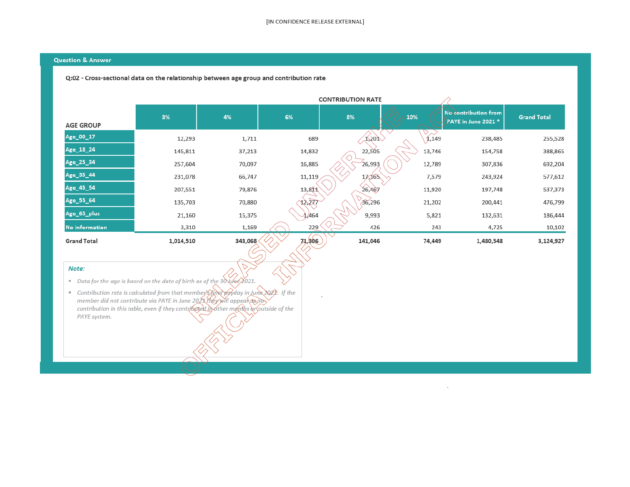### **Question & Answer**

### Q:02 - Cross-sectional data on the relationship between age group and contribution rate

| <b>AGE GROUP</b>      | 3%        | 4%      | 6%     | 8%                          | 10%    | No contribution from<br>PAYE in June 2021 * | <b>Grand Total</b> |
|-----------------------|-----------|---------|--------|-----------------------------|--------|---------------------------------------------|--------------------|
| Age_00_17             | 12,293    | 1,711   | 689    | $\lambda$ <sub>1</sub> ,201 | 1,149  | 238,485                                     | 255,528            |
| Age_18_24             | 145,811   | 37,213  | 14,832 | 22,505                      | 13,746 | 154,758                                     | 388,865            |
| Age_25_34             | 257,604   | 70,097  | 16,885 | 26,993                      | 12,789 | 307,836                                     | 692,204            |
| Age_35_44             | 231,078   | 66,747  | 11,119 | 17,165                      | 7,579  | 243,924                                     | 577,612            |
| Age_45_54             | 207,551   | 79,876  | 13,811 | 26,467                      | 11,920 | 197,748                                     | 537,373            |
| Age_55_64             | 135,703   | 70,880  | 12,277 | 36,296                      | 21,202 | 200,441                                     | 476,799            |
| Age_65_plus           | 21,160    | 15,375  | 1,464  | 9,993                       | 5,821  | 132,631                                     | 186,444            |
| <b>No information</b> | 3,310     | 1,169   | 229    | 426                         | 243    | 4,725                                       | 10,102             |
| <b>Grand Total</b>    | 1,014,510 | 343,068 | 74,806 | 141,046                     | 74,449 | 1,480,548                                   | 3,124,927          |

### Note:

■ Data for the age is based on the date of birth as of the 30 une 2021.

Contribution rate is calculated from that member Simal poviday in June 2022. If the<br>member did not contribute via PAYE in June 2021 they will appear as not<br>contribution in this table, even if they contributed in other mont PAYE system.